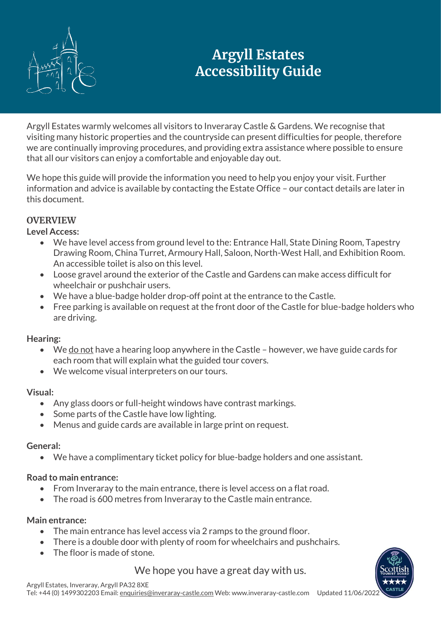

# **Argyll Estates Accessibility Guide**

Argyll Estates warmly welcomes all visitors to Inveraray Castle & Gardens. We recognise that visiting many historic properties and the countryside can present difficulties for people, therefore we are continually improving procedures, and providing extra assistance where possible to ensure that all our visitors can enjoy a comfortable and enjoyable day out.

We hope this guide will provide the information you need to help you enjoy your visit. Further information and advice is available by contacting the Estate Office – our contact details are later in this document.

# **OVERVIEW**

## **Level Access:**

- We have level access from ground level to the: Entrance Hall, State Dining Room, Tapestry Drawing Room, China Turret, Armoury Hall, Saloon, North-West Hall, and Exhibition Room. An accessible toilet is also on this level.
- Loose gravel around the exterior of the Castle and Gardens can make access difficult for wheelchair or pushchair users.
- We have a blue-badge holder drop-off point at the entrance to the Castle.
- Free parking is available on request at the front door of the Castle for blue-badge holders who are driving.

## **Hearing:**

- We do not have a hearing loop anywhere in the Castle however, we have guide cards for each room that will explain what the guided tour covers.
- We welcome visual interpreters on our tours.

## **Visual:**

- Any glass doors or full-height windows have contrast markings.
- Some parts of the Castle have low lighting.
- Menus and guide cards are available in large print on request.

# **General:**

• We have a complimentary ticket policy for blue-badge holders and one assistant.

# **Road to main entrance:**

- From Inveraray to the main entrance, there is level access on a flat road.
- The road is 600 metres from Inveraray to the Castle main entrance.

## **Main entrance:**

- The main entrance has level access via 2 ramps to the ground floor.
- There is a double door with plenty of room for wheelchairs and pushchairs.
- The floor is made of stone.

We hope you have a great day with us.

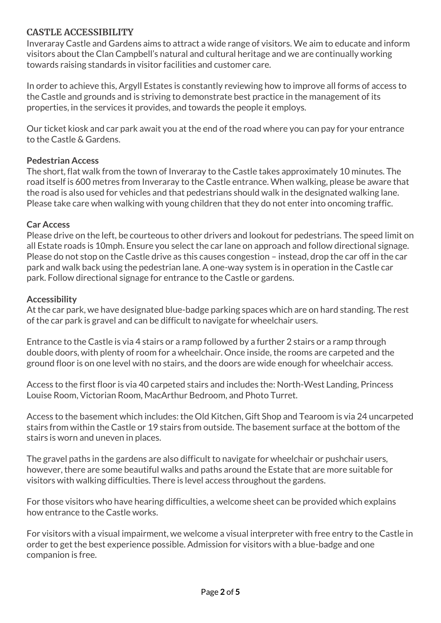## **CASTLE ACCESSIBILITY**

Inveraray Castle and Gardens aims to attract a wide range of visitors. We aim to educate and inform visitors about the Clan Campbell's natural and cultural heritage and we are continually working towards raising standards in visitor facilities and customer care.

In order to achieve this, Argyll Estates is constantly reviewing how to improve all forms of access to the Castle and grounds and is striving to demonstrate best practice in the management of its properties, in the services it provides, and towards the people it employs.

Our ticket kiosk and car park await you at the end of the road where you can pay for your entrance to the Castle & Gardens.

#### **Pedestrian Access**

The short, flat walk from the town of Inveraray to the Castle takes approximately 10 minutes. The road itself is 600 metres from Inveraray to the Castle entrance. When walking, please be aware that the road is also used for vehicles and that pedestrians should walk in the designated walking lane. Please take care when walking with young children that they do not enter into oncoming traffic.

#### **Car Access**

Please drive on the left, be courteous to other drivers and lookout for pedestrians. The speed limit on all Estate roads is 10mph. Ensure you select the car lane on approach and follow directional signage. Please do not stop on the Castle drive as this causes congestion – instead, drop the car off in the car park and walk back using the pedestrian lane. A one-way system is in operation in the Castle car park. Follow directional signage for entrance to the Castle or gardens.

#### **Accessibility**

At the car park, we have designated blue-badge parking spaces which are on hard standing. The rest of the car park is gravel and can be difficult to navigate for wheelchair users.

Entrance to the Castle is via 4 stairs or a ramp followed by a further 2 stairs or a ramp through double doors, with plenty of room for a wheelchair. Once inside, the rooms are carpeted and the ground floor is on one level with no stairs, and the doors are wide enough for wheelchair access.

Access to the first floor is via 40 carpeted stairs and includes the: North-West Landing, Princess Louise Room, Victorian Room, MacArthur Bedroom, and Photo Turret.

Access to the basement which includes: the Old Kitchen, Gift Shop and Tearoom is via 24 uncarpeted stairs from within the Castle or 19 stairs from outside. The basement surface at the bottom of the stairs is worn and uneven in places.

The gravel paths in the gardens are also difficult to navigate for wheelchair or pushchair users, however, there are some beautiful walks and paths around the Estate that are more suitable for visitors with walking difficulties. There is level access throughout the gardens.

For those visitors who have hearing difficulties, a welcome sheet can be provided which explains how entrance to the Castle works.

For visitors with a visual impairment, we welcome a visual interpreter with free entry to the Castle in order to get the best experience possible. Admission for visitors with a blue-badge and one companion is free.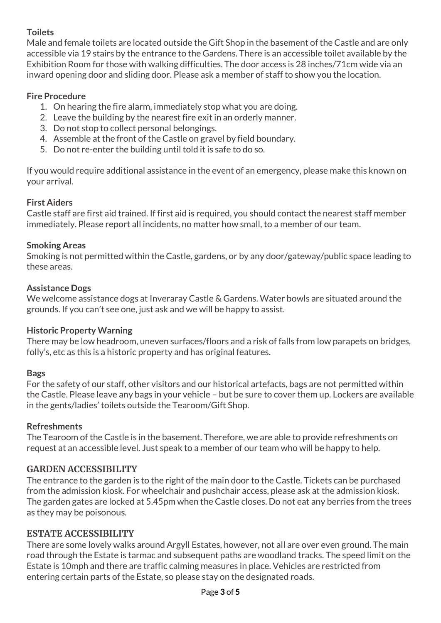# **Toilets**

Male and female toilets are located outside the Gift Shop in the basement of the Castle and are only accessible via 19 stairs by the entrance to the Gardens. There is an accessible toilet available by the Exhibition Room for those with walking difficulties. The door access is 28 inches/71cm wide via an inward opening door and sliding door. Please ask a member of staff to show you the location.

## **Fire Procedure**

- 1. On hearing the fire alarm, immediately stop what you are doing.
- 2. Leave the building by the nearest fire exit in an orderly manner.
- 3. Do not stop to collect personal belongings.
- 4. Assemble at the front of the Castle on gravel by field boundary.
- 5. Do not re-enter the building until told it is safe to do so.

If you would require additional assistance in the event of an emergency, please make this known on your arrival.

## **First Aiders**

Castle staff are first aid trained. If first aid is required, you should contact the nearest staff member immediately. Please report all incidents, no matter how small, to a member of our team.

## **Smoking Areas**

Smoking is not permitted within the Castle, gardens, or by any door/gateway/public space leading to these areas.

## **Assistance Dogs**

We welcome assistance dogs at Inveraray Castle & Gardens. Water bowls are situated around the grounds. If you can't see one, just ask and we will be happy to assist.

## **Historic Property Warning**

There may be low headroom, uneven surfaces/floors and a risk of falls from low parapets on bridges, folly's, etc as this is a historic property and has original features.

## **Bags**

For the safety of our staff, other visitors and our historical artefacts, bags are not permitted within the Castle. Please leave any bags in your vehicle – but be sure to cover them up. Lockers are available in the gents/ladies' toilets outside the Tearoom/Gift Shop.

## **Refreshments**

The Tearoom of the Castle is in the basement. Therefore, we are able to provide refreshments on request at an accessible level. Just speak to a member of our team who will be happy to help.

# **GARDEN ACCESSIBILITY**

The entrance to the garden is to the right of the main door to the Castle. Tickets can be purchased from the admission kiosk. For wheelchair and pushchair access, please ask at the admission kiosk. The garden gates are locked at 5.45pm when the Castle closes. Do not eat any berries from the trees as they may be poisonous.

## **ESTATE ACCESSIBILITY**

There are some lovely walks around Argyll Estates, however, not all are over even ground. The main road through the Estate is tarmac and subsequent paths are woodland tracks. The speed limit on the Estate is 10mph and there are traffic calming measures in place. Vehicles are restricted from entering certain parts of the Estate, so please stay on the designated roads.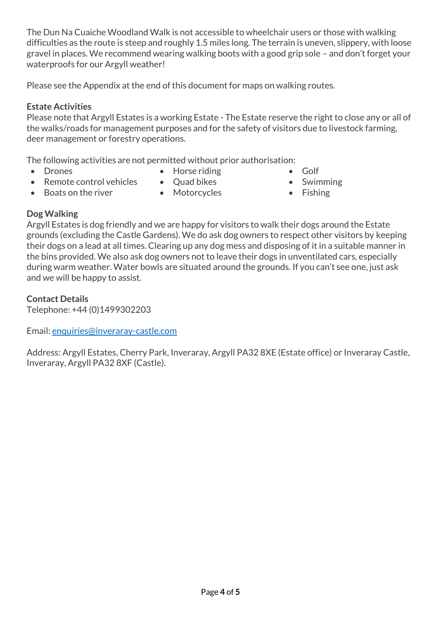The Dun Na Cuaiche Woodland Walk is not accessible to wheelchair users or those with walking difficulties as the route is steep and roughly 1.5 miles long. The terrain is uneven, slippery, with loose gravel in places. We recommend wearing walking boots with a good grip sole – and don't forget your waterproofs for our Argyll weather!

Please see the Appendix at the end of this document for maps on walking routes.

## **Estate Activities**

Please note that Argyll Estates is a working Estate - The Estate reserve the right to close any or all of the walks/roads for management purposes and for the safety of visitors due to livestock farming, deer management or forestry operations.

The following activities are not permitted without prior authorisation:

• Drones

- Horse riding
- Golf
- 
- Remote control vehicles • Boats on the river
- Quad bikes • Motorcycles
- Swimming
- Fishing

# **Dog Walking**

Argyll Estates is dog friendly and we are happy for visitors to walk their dogs around the Estate grounds (excluding the Castle Gardens). We do ask dog owners to respect other visitors by keeping their dogs on a lead at all times. Clearing up any dog mess and disposing of it in a suitable manner in the bins provided. We also ask dog owners not to leave their dogs in unventilated cars, especially during warm weather. Water bowls are situated around the grounds. If you can't see one, just ask and we will be happy to assist.

## **Contact Details**

Telephone: +44 (0)1499302203

Email[: enquiries@inveraray-castle.com](mailto:enquiries@inveraray-castle.com)

Address: Argyll Estates, Cherry Park, Inveraray, Argyll PA32 8XE (Estate office) or Inveraray Castle, Inveraray, Argyll PA32 8XF (Castle).